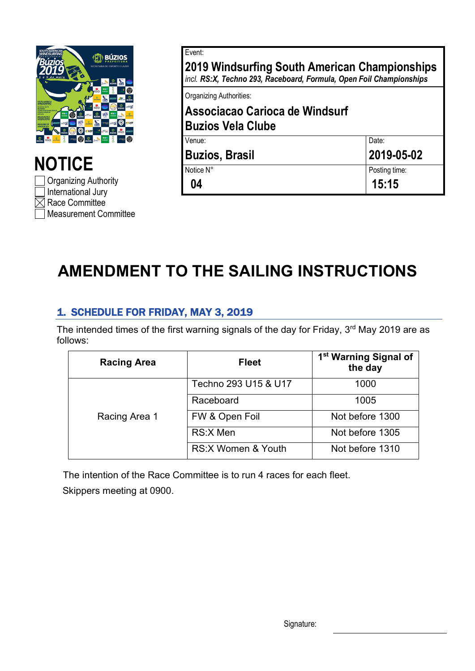

**NOTICE** Organizing Authority International Jury  $\boxtimes$  Race Committee Measurement Committee

| Event:                                                                                                               |               |  |
|----------------------------------------------------------------------------------------------------------------------|---------------|--|
| 2019 Windsurfing South American Championships<br>incl. RS:X, Techno 293, Raceboard, Formula, Open Foil Championships |               |  |
| <b>Organizing Authorities:</b>                                                                                       |               |  |
| Associacao Carioca de Windsurf<br><b>Buzios Vela Clube</b>                                                           |               |  |
| Venue:                                                                                                               | Date:         |  |
| <b>Buzios, Brasil</b>                                                                                                | 2019-05-02    |  |
| Notice N°                                                                                                            | Posting time: |  |
| 04                                                                                                                   | 15:15         |  |

## **AMENDMENT TO THE SAILING INSTRUCTIONS**

## 1. SCHEDULE FOR FRIDAY, MAY 3, 2019

The intended times of the first warning signals of the day for Friday, 3<sup>rd</sup> May 2019 are as follows:

| <b>Racing Area</b> | <b>Fleet</b>         | 1 <sup>st</sup> Warning Signal of<br>the day |
|--------------------|----------------------|----------------------------------------------|
| Racing Area 1      | Techno 293 U15 & U17 | 1000                                         |
|                    | Raceboard            | 1005                                         |
|                    | FW & Open Foil       | Not before 1300                              |
|                    | RS:X Men             | Not before 1305                              |
|                    | RS:X Women & Youth   | Not before 1310                              |

The intention of the Race Committee is to run 4 races for each fleet. Skippers meeting at 0900.